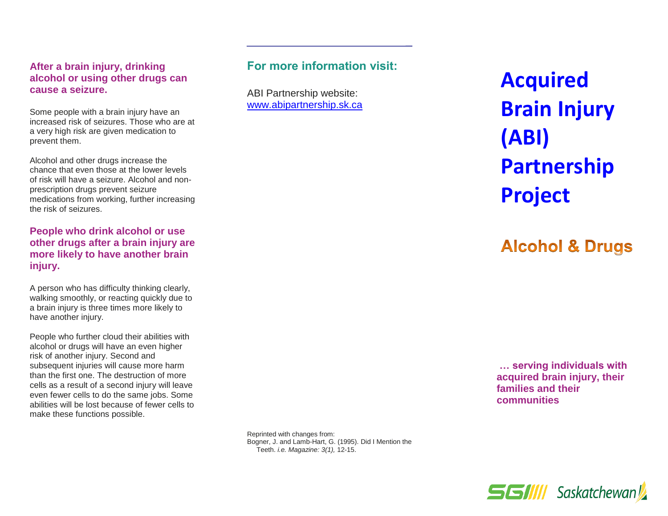#### **After a brain injury, drinking alcohol or using other drugs can cause a seizure.**

Some people with a brain injury have an increased risk of seizures. Those who are at a very high risk are given medication to prevent them.

Alcohol and other drugs increase the chance that even those at the lower levels of risk will have a seizure. Alcohol and nonprescription drugs prevent seizure medications from working, further increasing the risk of seizures.

#### **People who drink alcohol or use other drugs after a brain injury are more likely to have another brain injury.**

A person who has difficulty thinking clearly, walking smoothly, or reacting quickly due to a brain injury is three times more likely to have another injury.

People who further cloud their abilities with alcohol or drugs will have an even higher risk of another injury. Second and subsequent injuries will cause more harm than the first one. The destruction of more cells as a result of a second injury will leave even fewer cells to do the same jobs. Some abilities will be lost because of fewer cells to make these functions possible.

## **For more information visit:**

ABI Partnership website: [www.abipartnership.sk.ca](file://///p-v-1082.health.hin.sk.ca/ccsbcom$/Acquired%20Brain%20Injury/Education%20and%20Prevention/pamphlets/2022%20revisions/www.abipartnership.sk.ca) **Acquired Brain Injury (ABI) Partnership Project**

# **Alcohol & Drugs**

**… serving individuals with acquired brain injury, their families and their communities**

Reprinted with changes from: Bogner, J. and Lamb-Hart, G. (1995). Did I Mention the Teeth. *i.e. Magazine: 3(1),* 12-15.